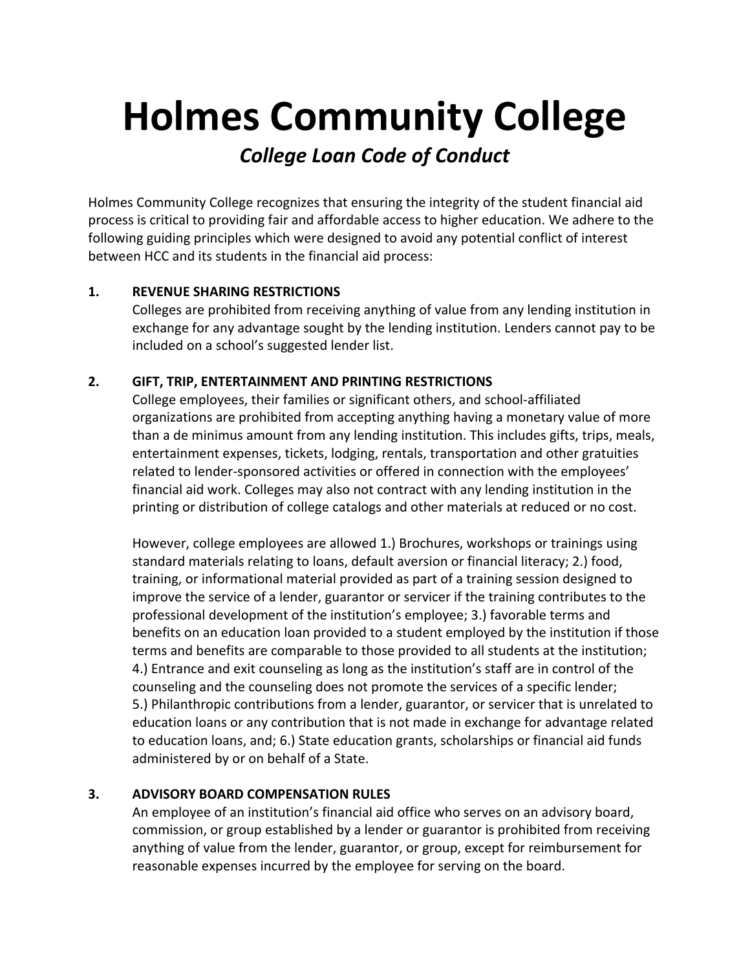# **Holmes Community College**

## **College Loan Code of Conduct**

Holmes Community College recognizes that ensuring the integrity of the student financial aid process is critical to providing fair and affordable access to higher education. We adhere to the following guiding principles which were designed to avoid any potential conflict of interest between HCC and its students in the financial aid process:

#### **1.' REVENUE'SHARING'RESTRICTIONS**

Colleges are prohibited from receiving anything of value from any lending institution in exchange for any advantage sought by the lending institution. Lenders cannot pay to be included on a school's suggested lender list.

#### 2. GIFT, TRIP, ENTERTAINMENT AND PRINTING RESTRICTIONS

College employees, their families or significant others, and school-affiliated organizations are prohibited from accepting anything having a monetary value of more than a de minimus amount from any lending institution. This includes gifts, trips, meals, entertainment expenses, tickets, lodging, rentals, transportation and other gratuities related to lender-sponsored activities or offered in connection with the employees' financial aid work. Colleges may also not contract with any lending institution in the printing or distribution of college catalogs and other materials at reduced or no cost.

However, college employees are allowed 1.) Brochures, workshops or trainings using standard materials relating to loans, default aversion or financial literacy; 2.) food, training, or informational material provided as part of a training session designed to improve the service of a lender, guarantor or servicer if the training contributes to the professional development of the institution's employee; 3.) favorable terms and benefits on an education loan provided to a student employed by the institution if those terms and benefits are comparable to those provided to all students at the institution; 4.) Entrance and exit counseling as long as the institution's staff are in control of the counseling and the counseling does not promote the services of a specific lender; 5.) Philanthropic contributions from a lender, guarantor, or servicer that is unrelated to education loans or any contribution that is not made in exchange for advantage related to education loans, and; 6.) State education grants, scholarships or financial aid funds administered by or on behalf of a State.

### **3.' ADVISORY'BOARD'COMPENSATION'RULES**

An employee of an institution's financial aid office who serves on an advisory board, commission, or group established by a lender or guarantor is prohibited from receiving anything of value from the lender, guarantor, or group, except for reimbursement for reasonable expenses incurred by the employee for serving on the board.